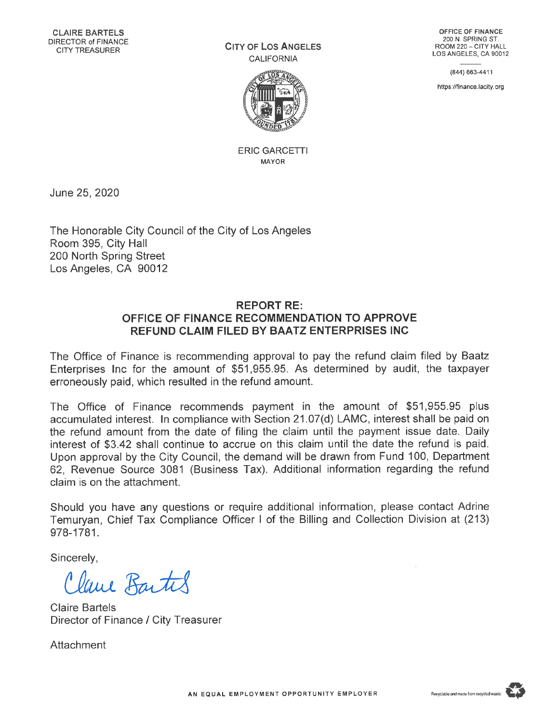$C$ **ity** of Los **A**<sub>ngeles</sub> CALIFORNIA



ERIC GARCETTI MAYOR

**OFFICE OF FINANCE** 200 N. SPRING ST. ROOM 220-CITY HALL LOS ANGELES, CA 90012

(844) 663-4411

https ://finance,lacity. org

June 25, 2020

The Honorable City Council of the City of Los Angeles Room 395, City Hall 200 North Spring Street Los Angeles, CA 90012

## **REPORT RE: OFFICE OF FINANCE RECOMMENDATION TO APPROVE REFUND CLAIM FILED BY BAATZ ENTERPRISES INC**

The Office of Finance is recommending approval to pay the refund claim filed by Baatz Enterprises Inc for the amount of \$51,955.95. As determined by audit, the taxpayer erroneously paid, which resulted in the refund amount.

The Office of Finance recommends payment in the amount of \$51,955.95 plus accumulated interest. In compliance with Section 21.07(d) LAMC, interest shall be paid on the refund amount from the date of filing the claim until the payment issue date. Daily interest of \$3.42 shall continue to accrue on this claim until the date the refund is paid. Upon approval by the City Council, the demand will be drawn from Fund 100, Department 62, Revenue Source 3081 (Business Tax). Additional information regarding the refund claim is on the attachment.

Should you have any questions or require additional information, please contact Adrine Temuryan, Chief Tax Compliance Officer <sup>I</sup> of the Billing and Collection Division at (213) 978-1781.

Sincerely,

*thud. <sup>Q</sup>z-M*

Claire Bartels Director of Finance / City Treasurer

**Attachment**